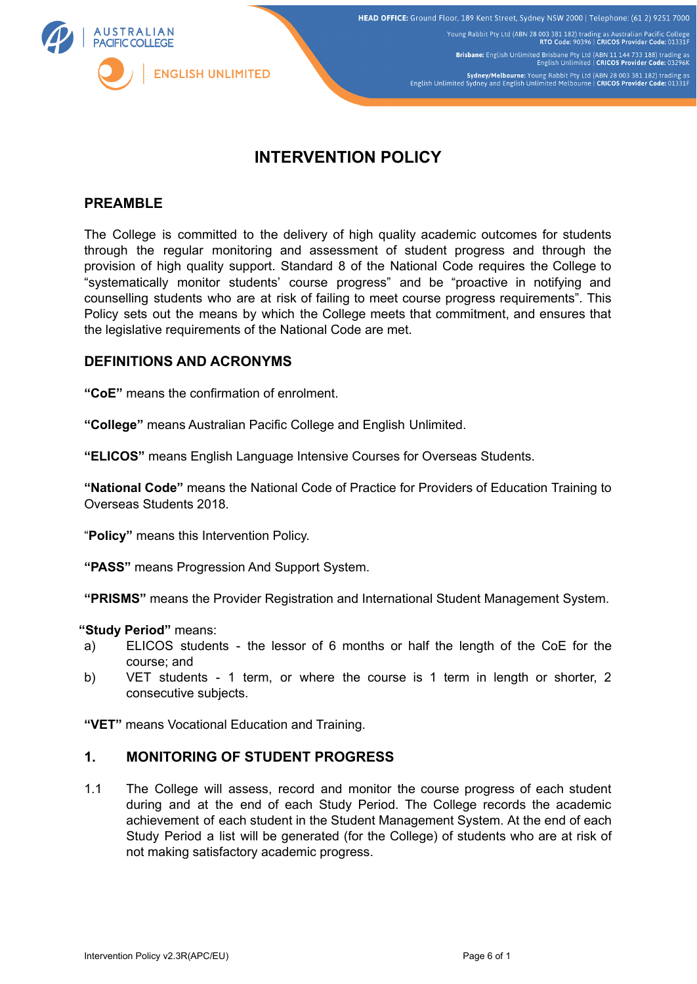

Young Rabbit Pty Ltd (ABN 28 003 381 182) trading as Australian Pacific College<br>RTO Code: 90396 | CRICOS Provider Code: 01331F

Brisbane: English Unlimited Brisbane Pty Ltd (ABN 11 144 733 188) trading as<br>English Unlimited | CRICOS Provider Code: 03296

Sydney/Melbourne: Young Rabbit Pty Ltd (ABN 28 003 381 182) trading as<br>English Unlimited Sydney and English Unlimited Melbourne | CRICOS Provider Code: 01331F

# **INTERVENTION POLICY**

#### **PREAMBLE**

The College is committed to the delivery of high quality academic outcomes for students through the regular monitoring and assessment of student progress and through the provision of high quality support. Standard 8 of the National Code requires the College to "systematically monitor students' course progress" and be "proactive in notifying and counselling students who are at risk of failing to meet course progress requirements". This Policy sets out the means by which the College meets that commitment, and ensures that the legislative requirements of the National Code are met.

#### **DEFINITIONS AND ACRONYMS**

**"CoE"** means the confirmation of enrolment.

**"College"** means Australian Pacific College and English Unlimited.

**"ELICOS"** means English Language Intensive Courses for Overseas Students.

**"National Code"** means the National Code of Practice for Providers of Education Training to Overseas Students 2018*.*

"**Policy"** means this Intervention Policy.

**"PASS"** means Progression And Support System.

**"PRISMS"** means the Provider Registration and International Student Management System.

#### **"Study Period"** means:

- a) ELICOS students the lessor of 6 months or half the length of the CoE for the course; and
- b) VET students 1 term, or where the course is 1 term in length or shorter, 2 consecutive subjects.

**"VET"** means Vocational Education and Training.

#### **1. MONITORING OF STUDENT PROGRESS**

1.1 The College will assess, record and monitor the course progress of each student during and at the end of each Study Period. The College records the academic achievement of each student in the Student Management System. At the end of each Study Period a list will be generated (for the College) of students who are at risk of not making satisfactory academic progress.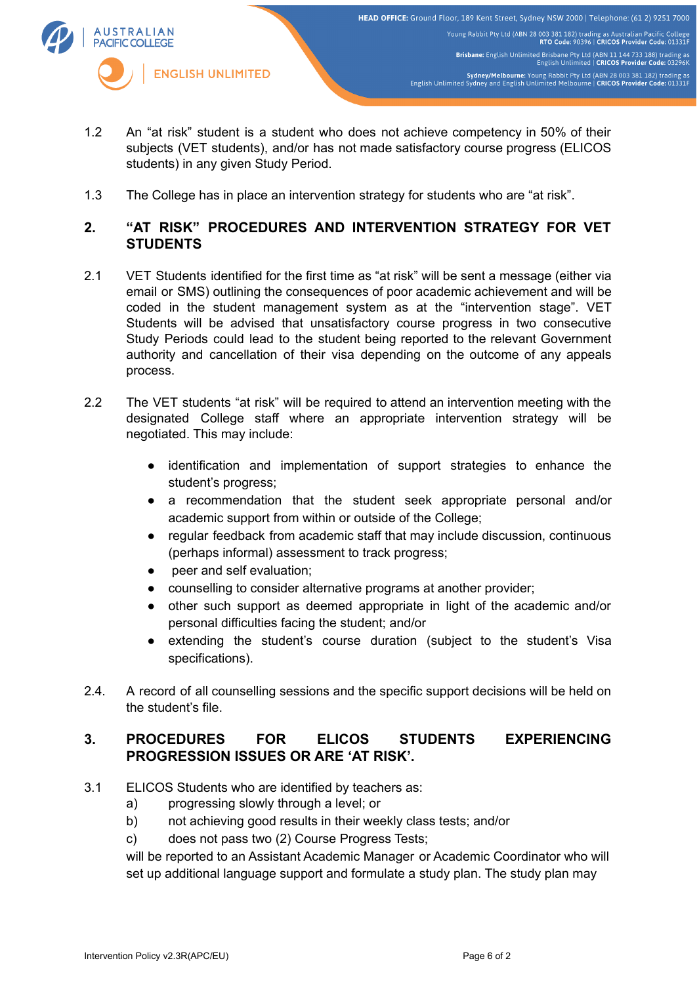

- 1.2 An "at risk" student is a student who does not achieve competency in 50% of their subjects (VET students), and/or has not made satisfactory course progress (ELICOS students) in any given Study Period.
- 1.3 The College has in place an intervention strategy for students who are "at risk".

# **2. "AT RISK" PROCEDURES AND INTERVENTION STRATEGY FOR VET STUDENTS**

- 2.1 VET Students identified for the first time as "at risk" will be sent a message (either via email or SMS) outlining the consequences of poor academic achievement and will be coded in the student management system as at the "intervention stage". VET Students will be advised that unsatisfactory course progress in two consecutive Study Periods could lead to the student being reported to the relevant Government authority and cancellation of their visa depending on the outcome of any appeals process.
- 2.2 The VET students "at risk" will be required to attend an intervention meeting with the designated College staff where an appropriate intervention strategy will be negotiated. This may include:
	- identification and implementation of support strategies to enhance the student's progress;
	- a recommendation that the student seek appropriate personal and/or academic support from within or outside of the College;
	- regular feedback from academic staff that may include discussion, continuous (perhaps informal) assessment to track progress;
	- peer and self evaluation;
	- counselling to consider alternative programs at another provider;
	- other such support as deemed appropriate in light of the academic and/or personal difficulties facing the student; and/or
	- extending the student's course duration (subject to the student's Visa specifications).
- 2.4. A record of all counselling sessions and the specific support decisions will be held on the student's file.

# **3. PROCEDURES FOR ELICOS STUDENTS EXPERIENCING PROGRESSION ISSUES OR ARE 'AT RISK'.**

- 3.1 ELICOS Students who are identified by teachers as:
	- a) progressing slowly through a level; or
	- b) not achieving good results in their weekly class tests; and/or
	- c) does not pass two (2) Course Progress Tests;

will be reported to an Assistant Academic Manager or Academic Coordinator who will set up additional language support and formulate a study plan. The study plan may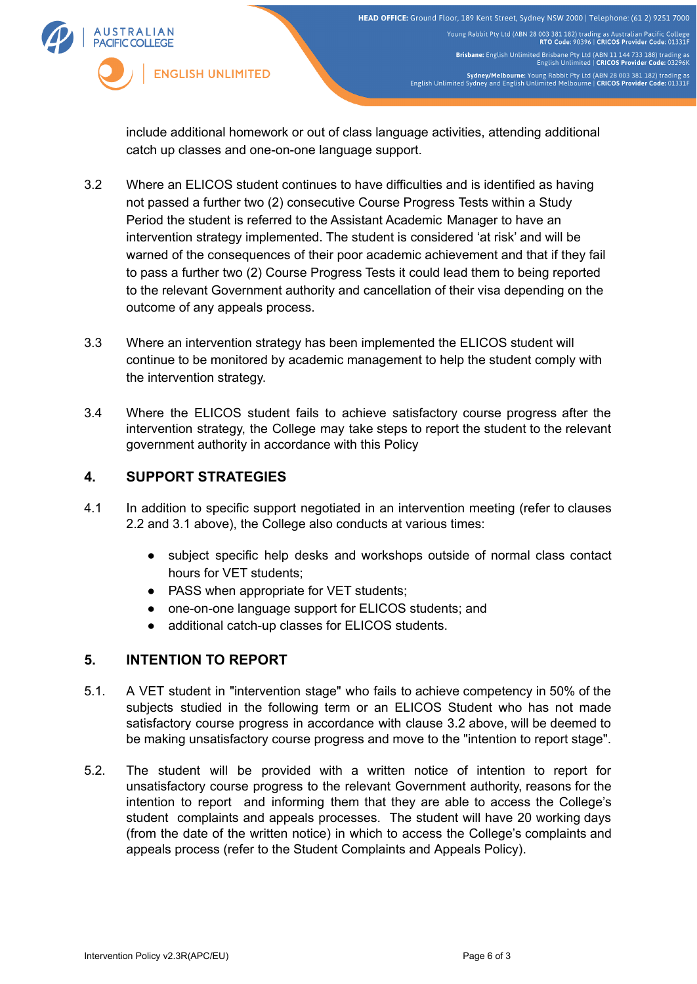

include additional homework or out of class language activities, attending additional catch up classes and one-on-one language support.

- 3.2 Where an ELICOS student continues to have difficulties and is identified as having not passed a further two (2) consecutive Course Progress Tests within a Study Period the student is referred to the Assistant Academic Manager to have an intervention strategy implemented. The student is considered 'at risk' and will be warned of the consequences of their poor academic achievement and that if they fail to pass a further two (2) Course Progress Tests it could lead them to being reported to the relevant Government authority and cancellation of their visa depending on the outcome of any appeals process.
- 3.3 Where an intervention strategy has been implemented the ELICOS student will continue to be monitored by academic management to help the student comply with the intervention strategy.
- 3.4 Where the ELICOS student fails to achieve satisfactory course progress after the intervention strategy, the College may take steps to report the student to the relevant government authority in accordance with this Policy

# **4. SUPPORT STRATEGIES**

- 4.1 In addition to specific support negotiated in an intervention meeting (refer to clauses 2.2 and 3.1 above), the College also conducts at various times:
	- subject specific help desks and workshops outside of normal class contact hours for VET students;
	- PASS when appropriate for VET students:
	- one-on-one language support for ELICOS students; and
	- additional catch-up classes for ELICOS students.

### **5. INTENTION TO REPORT**

- 5.1. A VET student in "intervention stage" who fails to achieve competency in 50% of the subjects studied in the following term or an ELICOS Student who has not made satisfactory course progress in accordance with clause 3.2 above, will be deemed to be making unsatisfactory course progress and move to the "intention to report stage".
- 5.2. The student will be provided with a written notice of intention to report for unsatisfactory course progress to the relevant Government authority, reasons for the intention to report and informing them that they are able to access the College's student complaints and appeals processes. The student will have 20 working days (from the date of the written notice) in which to access the College's complaints and appeals process (refer to the Student Complaints and Appeals Policy).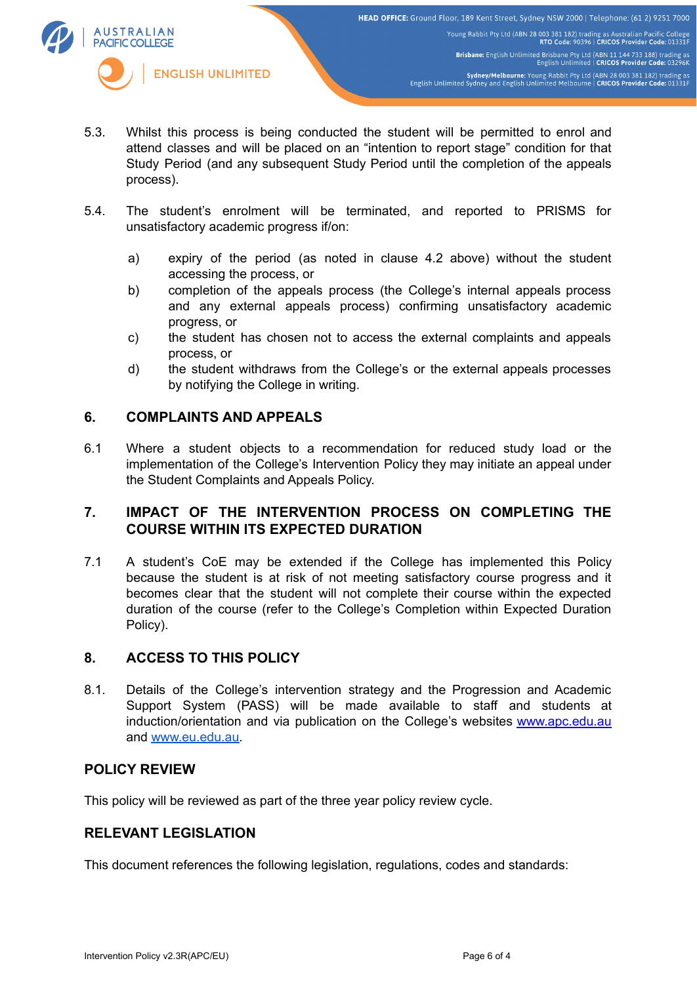

Brisbane: English Unlimited Brisbane Pty Ltd (ABN 11 144 733 188) trading as<br>English Unlimited | CRICOS Provider Code: 03296K

Sydney/Melbourne: Young Rabbit Pty Ltd (ABN 28 003 381 182) trading as<br>English Unlimited Sydney and English Unlimited Melbourne | CRICOS Provider Code: 01331F

- **AUSTRALIAN PACIFIC COLLEGE ENGLISH UNLIMITED** 
	- 5.3. Whilst this process is being conducted the student will be permitted to enrol and attend classes and will be placed on an "intention to report stage" condition for that Study Period (and any subsequent Study Period until the completion of the appeals process).
	- 5.4. The student's enrolment will be terminated, and reported to PRISMS for unsatisfactory academic progress if/on:
		- a) expiry of the period (as noted in clause 4.2 above) without the student accessing the process, or
		- b) completion of the appeals process (the College's internal appeals process and any external appeals process) confirming unsatisfactory academic progress, or
		- c) the student has chosen not to access the external complaints and appeals process, or
		- d) the student withdraws from the College's or the external appeals processes by notifying the College in writing.

### **6. COMPLAINTS AND APPEALS**

6.1 Where a student objects to a recommendation for reduced study load or the implementation of the College's Intervention Policy they may initiate an appeal under the Student Complaints and Appeals Policy.

### **7. IMPACT OF THE INTERVENTION PROCESS ON COMPLETING THE COURSE WITHIN ITS EXPECTED DURATION**

7.1 A student's CoE may be extended if the College has implemented this Policy because the student is at risk of not meeting satisfactory course progress and it becomes clear that the student will not complete their course within the expected duration of the course (refer to the College's Completion within Expected Duration Policy).

# **8. ACCESS TO THIS POLICY**

8.1. Details of the College's intervention strategy and the Progression and Academic Support System (PASS) will be made available to staff and students at induction/orientation and via publication on the College's websites [www.apc.edu.au](http://www.apc.edu.au) and [www.eu.edu.au.](http://www.eu.edu.au)

### **POLICY REVIEW**

This policy will be reviewed as part of the three year policy review cycle.

# **RELEVANT LEGISLATION**

This document references the following legislation, regulations, codes and standards: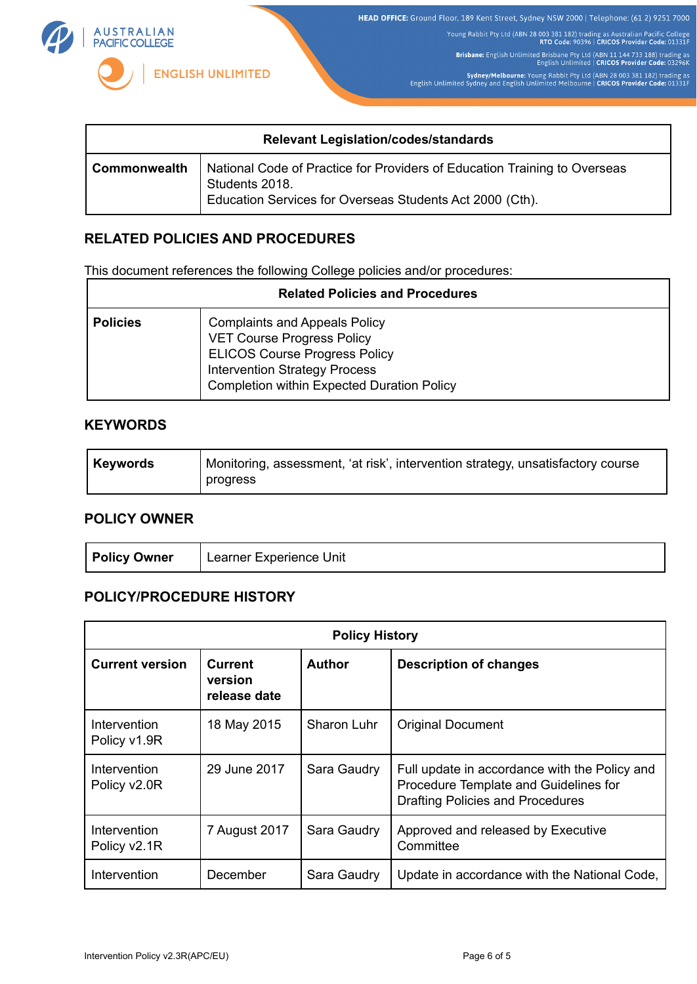

HEAD OFFICE: Ground Floor, 189 Kent Street, Sydney NSW 2000 | Telephone: (61 2) 9251 7000

Young Rabbit Pty Ltd (ABN 28 003 381 182) trading as Australian Pacific College<br>RTO Code: 90396 | CRICOS Provider Code: 01331F

Brisbane: English Unlimited Brisbane Pty Ltd (ABN 11 144 733 188) trading as<br>English Unlimited | CRICOS Provider Code: 03296K

Sydney/Melbourne: Young Rabbit Pty Ltd (ABN 28 003 381 182) trading as<br>English Unlimited Sydney and English Unlimited Melbourne | CRICOS Provider Code: 01331F

| <b>Relevant Legislation/codes/standards</b> |                                                                                                                                                         |  |
|---------------------------------------------|---------------------------------------------------------------------------------------------------------------------------------------------------------|--|
| <b>Commonwealth</b>                         | National Code of Practice for Providers of Education Training to Overseas<br>Students 2018.<br>Education Services for Overseas Students Act 2000 (Cth). |  |

# **RELATED POLICIES AND PROCEDURES**

This document references the following College policies and/or procedures:

| <b>Related Policies and Procedures</b> |                                                                                                                                                                                                                |  |  |
|----------------------------------------|----------------------------------------------------------------------------------------------------------------------------------------------------------------------------------------------------------------|--|--|
| <b>Policies</b>                        | <b>Complaints and Appeals Policy</b><br><b>VET Course Progress Policy</b><br><b>ELICOS Course Progress Policy</b><br><b>Intervention Strategy Process</b><br><b>Completion within Expected Duration Policy</b> |  |  |

### **KEYWORDS**

| Keywords | Monitoring, assessment, 'at risk', intervention strategy, unsatisfactory course |
|----------|---------------------------------------------------------------------------------|
|          | progress                                                                        |

#### **POLICY OWNER**

| <b>Policy Owner</b> | <sup>1</sup> Learner Experience Unit |
|---------------------|--------------------------------------|
|---------------------|--------------------------------------|

# **POLICY/PROCEDURE HISTORY**

| <b>Policy History</b>        |                                           |               |                                                                                                                                   |  |  |
|------------------------------|-------------------------------------------|---------------|-----------------------------------------------------------------------------------------------------------------------------------|--|--|
| <b>Current version</b>       | <b>Current</b><br>version<br>release date | <b>Author</b> | <b>Description of changes</b>                                                                                                     |  |  |
| Intervention<br>Policy v1.9R | 18 May 2015                               | Sharon Luhr   | <b>Original Document</b>                                                                                                          |  |  |
| Intervention<br>Policy v2.0R | 29 June 2017                              | Sara Gaudry   | Full update in accordance with the Policy and<br>Procedure Template and Guidelines for<br><b>Drafting Policies and Procedures</b> |  |  |
| Intervention<br>Policy v2.1R | 7 August 2017                             | Sara Gaudry   | Approved and released by Executive<br>Committee                                                                                   |  |  |
| Intervention                 | December                                  | Sara Gaudry   | Update in accordance with the National Code,                                                                                      |  |  |